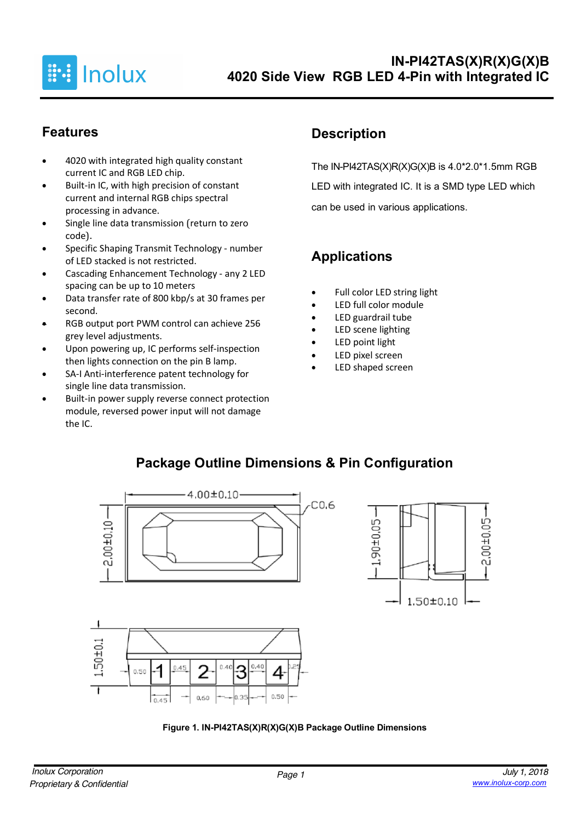

# **Features**

- 4020 with integrated high quality constant current IC and RGB LED chip.
- Built-in IC, with high precision of constant current and internal RGB chips spectral processing in advance.
- Single line data transmission (return to zero code).
- Specific Shaping Transmit Technology number of LED stacked is not restricted.
- Cascading Enhancement Technology any 2 LED spacing can be up to 10 meters
- Data transfer rate of 800 kbp/s at 30 frames per second.
- RGB output port PWM control can achieve 256 grey level adjustments.
- Upon powering up, IC performs self-inspection then lights connection on the pin B lamp.
- SA-I Anti-interference patent technology for single line data transmission.
- Built-in power supply reverse connect protection module, reversed power input will not damage the IC.

# **Description**

The IN-PI42TAS(X)R(X)G(X)B is  $4.0*2.0*1.5$ mm RGB LED with integrated IC. It is a SMD type LED which can be used in various applications.

# **Applications**

- Full color LED string light
- LED full color module
- LED guardrail tube
- LED scene lighting
- LED point light
- LED pixel screen
- LED shaped screen

### **Package Outline Dimensions & Pin Configuration**



 $0.40$ 3

n as

2

 $0,60$ 

 $0.45$ 

.1

 $\overline{h}$ 

 $0.50$ 



 $0.50$ 

 $0.40$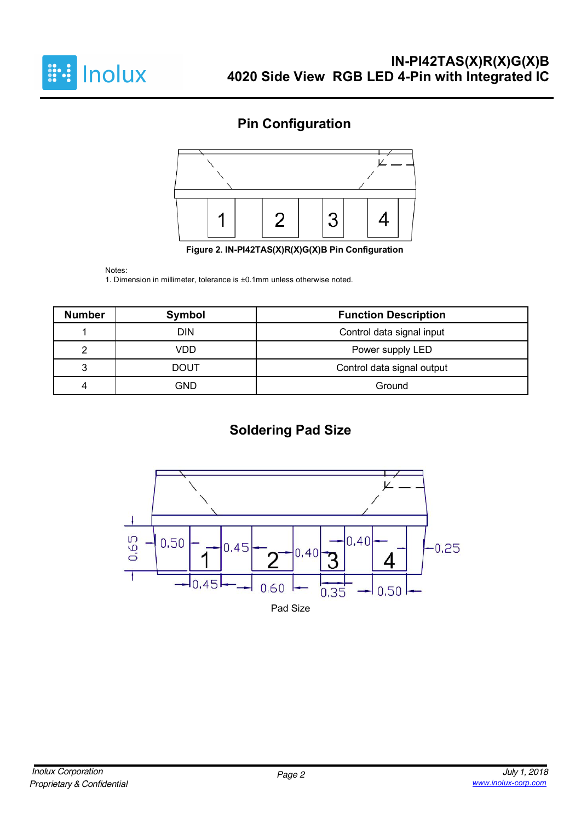

# **Pin Configuration**



**Figure 2. IN-PI42TAS(X)R(X)G(X)B Pin Configuration**

#### Notes:

1. Dimension in millimeter, tolerance is ±0.1mm unless otherwise noted.

| <b>Number</b> | Symbol                                  | <b>Function Description</b> |  |  |
|---------------|-----------------------------------------|-----------------------------|--|--|
|               | <b>DIN</b><br>Control data signal input |                             |  |  |
|               | VDD                                     | Power supply LED            |  |  |
| 2             | <b>DOUT</b>                             | Control data signal output  |  |  |
|               | GND                                     | Ground                      |  |  |

# **Soldering Pad Size**

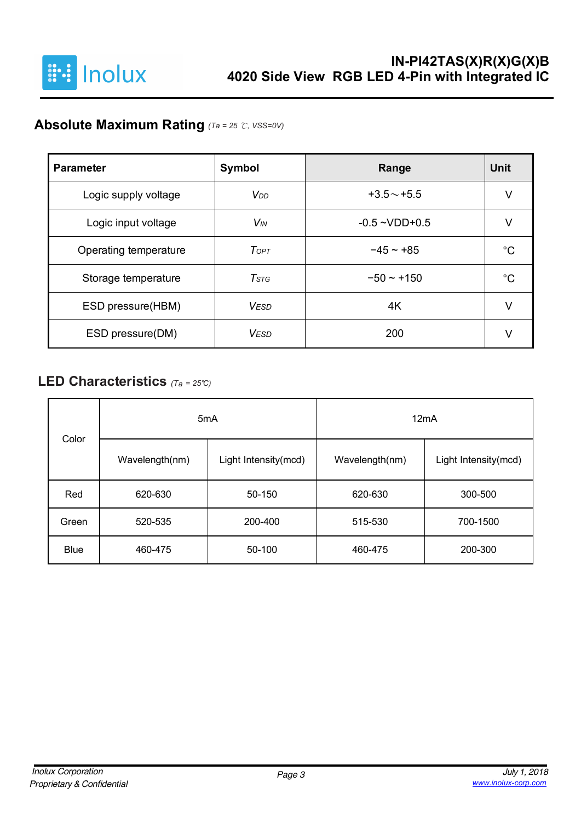

# **Absolute Maximum Rating** *(Ta = 25* ℃*, VSS=0V)*

| <b>Parameter</b>      | Symbol                | Range              | Unit |
|-----------------------|-----------------------|--------------------|------|
| Logic supply voltage  | V <sub>DD</sub>       | $+3.5 \sim +5.5$   | ν    |
| Logic input voltage   | <b>V<sub>IN</sub></b> | $-0.5 - VDD + 0.5$ |      |
| Operating temperature | ToPT                  | $-45 - +85$        | °C   |
| Storage temperature   | $T$ stg               | $-50 - +150$       | °€   |
| ESD pressure(HBM)     | <b>VESD</b>           | 4K                 | V    |
| ESD pressure(DM)      | <b>VESD</b>           | 200                |      |

# **LED Characteristics** *(Ta <sup>=</sup> 25°C)*

| Color       | 5 <sub>m</sub> A |                      | 12mA           |                      |  |  |
|-------------|------------------|----------------------|----------------|----------------------|--|--|
|             | Wavelength(nm)   | Light Intensity(mcd) | Wavelength(nm) | Light Intensity(mcd) |  |  |
| Red         | 620-630          | 50-150               | 620-630        | 300-500              |  |  |
| Green       | 520-535          | 200-400              | 515-530        | 700-1500             |  |  |
| <b>Blue</b> | 460-475          | 50-100               | 460-475        | 200-300              |  |  |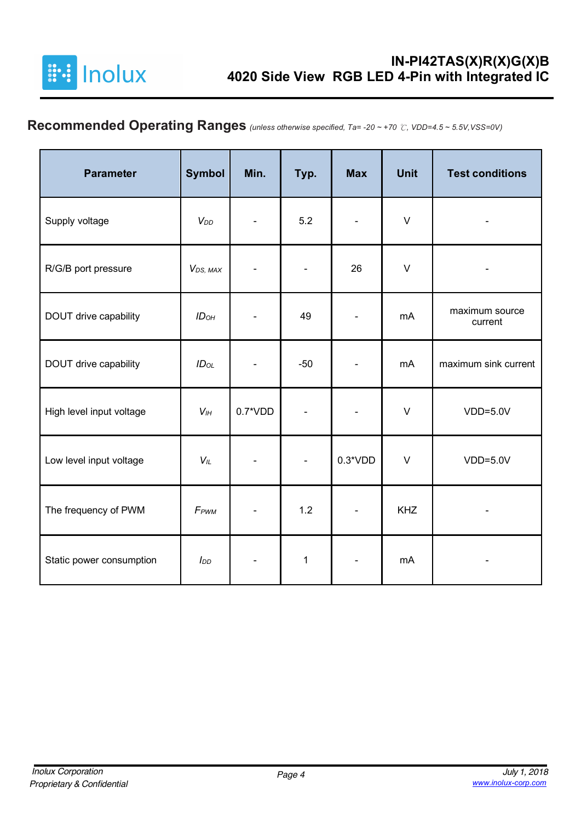

# **Recommended Operating Ranges** *(unless otherwise specified, Ta= -20 ~ +70* ℃*, VDD=4.5 ~ 5.5V,VSS=0V)*

| <b>Parameter</b>         | <b>Symbol</b>         | Min.      | Typ.                     | <b>Max</b>     | <b>Unit</b> | <b>Test conditions</b>    |
|--------------------------|-----------------------|-----------|--------------------------|----------------|-------------|---------------------------|
| Supply voltage           | V <sub>DD</sub>       |           | 5.2                      |                | $\vee$      |                           |
| R/G/B port pressure      | V <sub>DS</sub> , MAX |           |                          | 26             | $\vee$      |                           |
| DOUT drive capability    | ID <sub>OH</sub>      |           | 49                       |                | mA          | maximum source<br>current |
| DOUT drive capability    | $ID_{OL}$             |           | $-50$                    |                | mA          | maximum sink current      |
| High level input voltage | V <sub>IH</sub>       | $0.7*VDD$ |                          |                | $\vee$      | $VDD=5.0V$                |
| Low level input voltage  | $V_{\parallel L}$     |           | $\overline{\phantom{a}}$ | $0.3*VDD$      | $\vee$      | $VDD=5.0V$                |
| The frequency of PWM     | F <sub>PWM</sub>      |           | 1.2                      | $\blacksquare$ | <b>KHZ</b>  |                           |
| Static power consumption | $I_{DD}$              |           | $\mathbf{1}$             |                | mA          |                           |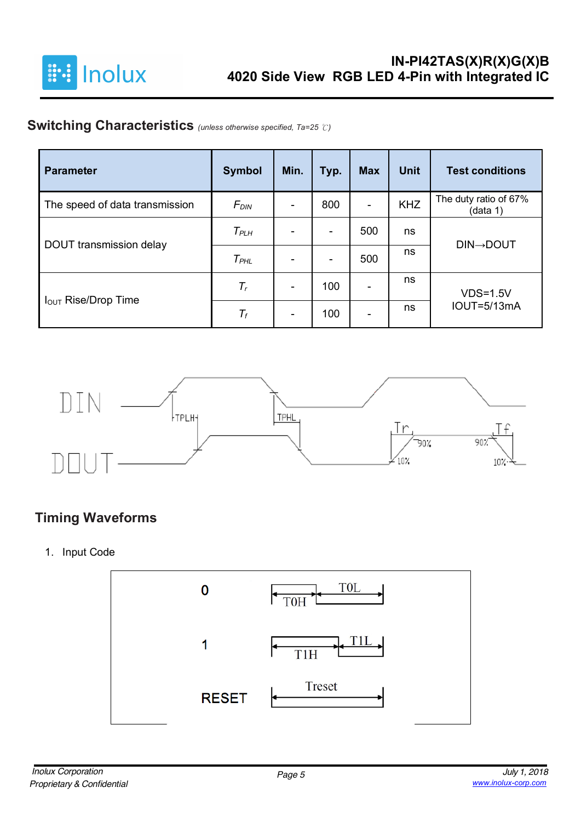

# **Switching Characteristics** *(unless otherwise specified, Ta=25* ℃*)*

| <b>Parameter</b>               | <b>Symbol</b>    | Min. | Typ.                     | <b>Max</b>               | <b>Unit</b> | <b>Test conditions</b>            |
|--------------------------------|------------------|------|--------------------------|--------------------------|-------------|-----------------------------------|
| The speed of data transmission | F <sub>DIN</sub> |      | 800                      | $\blacksquare$           | <b>KHZ</b>  | The duty ratio of 67%<br>(data 1) |
|                                | $T_{PLH}$        |      | $\overline{\phantom{a}}$ | 500                      | ns          |                                   |
| DOUT transmission delay        | $T_{PHL}$        |      | $\blacksquare$           | 500                      | ns          | <b>DIN→DOUT</b>                   |
|                                | $T_r$            |      | 100                      | $\overline{\phantom{0}}$ | ns          | $VDS=1.5V$                        |
| <b>IOUT Rise/Drop Time</b>     | $\mathcal{T}_f$  |      | 100                      | $\blacksquare$           | ns          | <b>IOUT=5/13mA</b>                |



# **Timing Waveforms**

1. Input Code

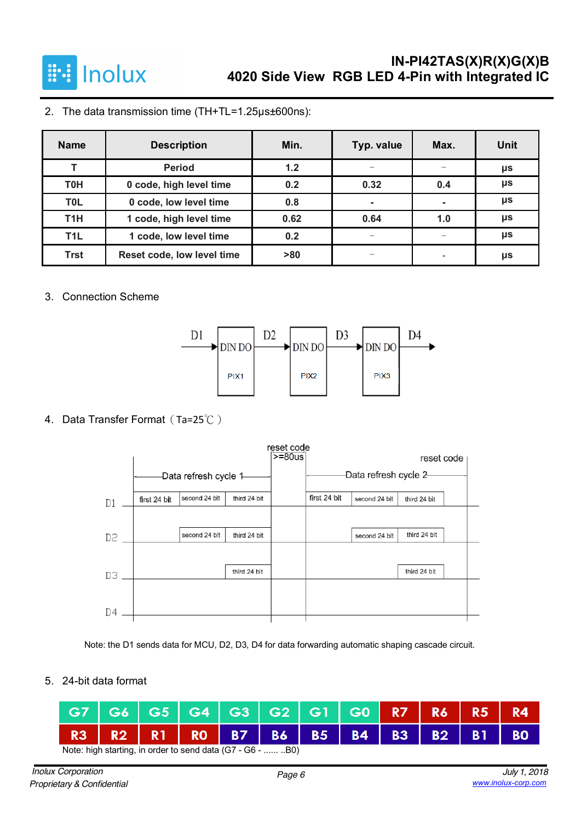

2. The data transmission time (TH+TL=1.25µs±600ns):

| <b>Name</b>      | <b>Description</b>         | Min. | Typ. value   | Max. | Unit |
|------------------|----------------------------|------|--------------|------|------|
| T                | <b>Period</b>              | 1.2  |              |      | μs   |
| <b>T0H</b>       | 0 code, high level time    | 0.2  | 0.32         | 0.4  | μs   |
| T <sub>0</sub> L | 0 code, low level time     | 0.8  | $\mathbf{r}$ | ۰    | μs   |
| T <sub>1</sub> H | 1 code, high level time    | 0.62 | 0.64         | 1.0  | μs   |
| T <sub>1</sub> L | 1 code, low level time     | 0.2  | —            |      | μs   |
| <b>Trst</b>      | Reset code, low level time | >80  |              |      | μs   |

#### 3. Connection Scheme



#### 4. Data Transfer Format(Ta=25℃)

|    |              |                        |              | reset code |                        |               |              |  |
|----|--------------|------------------------|--------------|------------|------------------------|---------------|--------------|--|
|    |              |                        |              | $>= 80$ us |                        |               | reset code   |  |
|    |              | -Data refresh cycle 1- |              |            | -Data refresh cycle 2- |               |              |  |
| D1 | first 24 bit | second 24 blt          | third 24 bit |            | first 24 bit           | second 24 blt | third 24 bit |  |
|    |              |                        |              |            |                        |               |              |  |
| D2 |              | second 24 blt          | third 24 bit |            |                        | second 24 blt | third 24 bit |  |
|    |              |                        |              |            |                        |               |              |  |
| D3 |              |                        | third 24 bit |            |                        |               | third 24 bit |  |
|    |              |                        |              |            |                        |               |              |  |
| D4 |              |                        |              |            |                        |               |              |  |

Note: the D1 sends data for MCU, D2, D3, D4 for data forwarding automatic shaping cascade circuit.

5. 24-bit data format

|                                                            |  |  |  |  |  | G7   G6   G5   G4   G3   G2   G1   G0   R7   R6   R5   R4 |  |  |  |  |
|------------------------------------------------------------|--|--|--|--|--|-----------------------------------------------------------|--|--|--|--|
|                                                            |  |  |  |  |  | R3   R2   R1   R0   B7   B6   B5   B4   B3   B2   B1   B0 |  |  |  |  |
| Note: high starting, in order to send data (G7 - G6 -  B0) |  |  |  |  |  |                                                           |  |  |  |  |

*Inolux Corporation Proprietary & Confidential*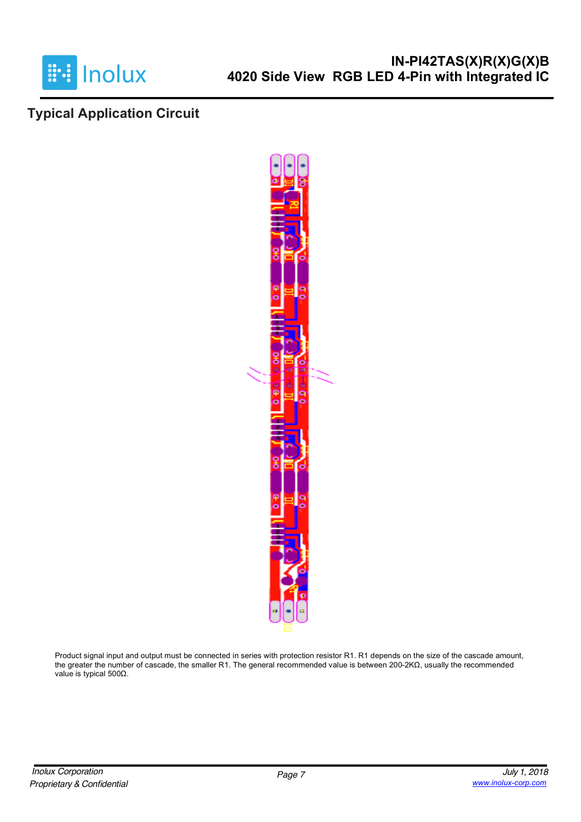

### **Typical Application Circuit**



Product signal input and output must be connected in series with protection resistor R1. R1 depends on the size of the cascade amount, the greater the number of cascade, the smaller R1. The general recommended value is between 200-2KΩ, usually the recommended value is typical 500Ω.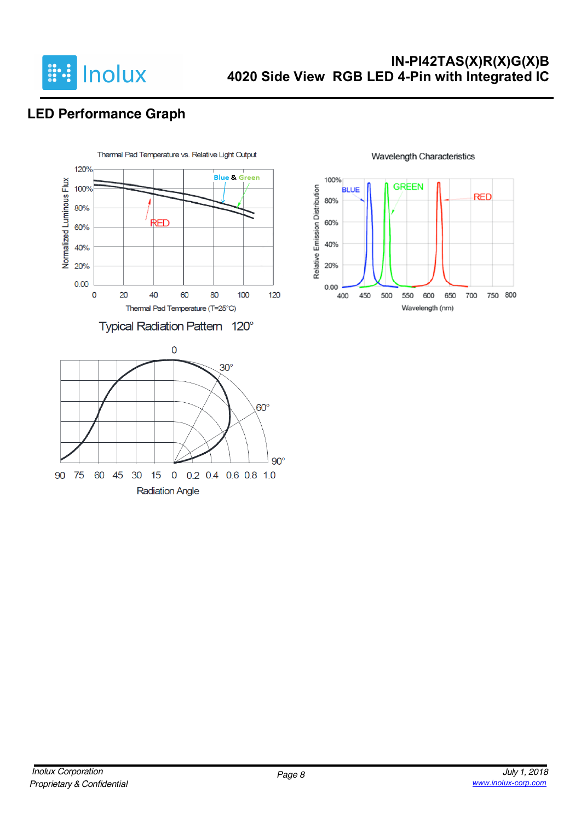

# **LED Performance Graph**



#### 100% **GREEN** Relative Emission Distribution **BLUE RED** 80% 60% 40% 20%  $0.00$ 750 800 400 450 500 550 600 650 700 Wavelength (nm)

#### **Wavelength Characteristics**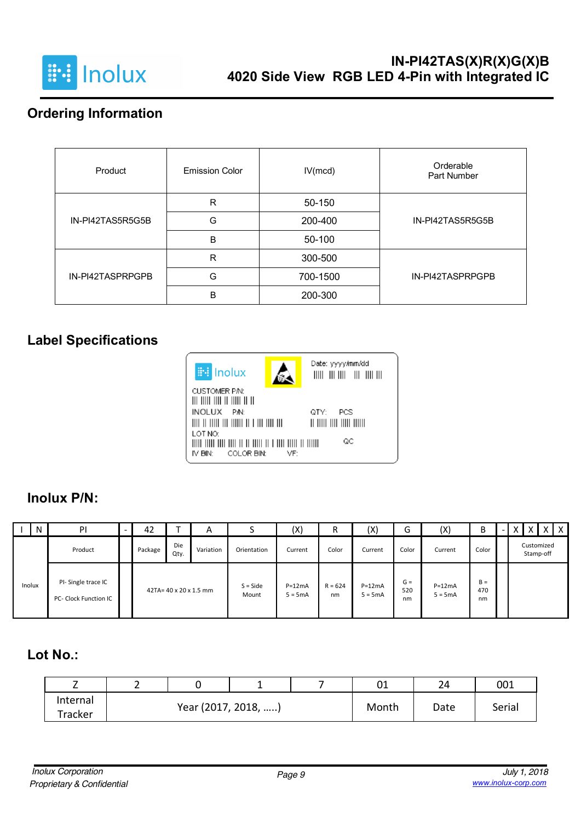

# **Ordering Information**

| Product          | <b>Emission Color</b> | IV(mcd)  | Orderable<br>Part Number |
|------------------|-----------------------|----------|--------------------------|
|                  | R                     | 50-150   |                          |
| IN-PI42TAS5R5G5B | G                     | 200-400  | IN-PI42TAS5R5G5B         |
|                  | B                     | 50-100   |                          |
|                  | R                     | 300-500  |                          |
| IN-PI42TASPRPGPB | G                     | 700-1500 | IN-PI42TASPRPGPB         |
|                  | B                     | 200-300  |                          |

### **Label Specifications**



# **Inolux P/N:**

| N      | P                                           | 42                     |             | $\mathsf{A}$        |                       | (X)             | R                     | (X)                | G                     | (X)                | В     |  |                         | X | $\mathsf{I} \mathsf{X}$ |
|--------|---------------------------------------------|------------------------|-------------|---------------------|-----------------------|-----------------|-----------------------|--------------------|-----------------------|--------------------|-------|--|-------------------------|---|-------------------------|
|        | Product                                     | Package                | Die<br>Qty. | Variation           | Orientation           | Current         | Color                 | Current            | Color                 | Current            | Color |  | Customized<br>Stamp-off |   |                         |
| Inolux | PI-Single trace IC<br>PC- Clock Function IC | 42TA= 40 x 20 x 1.5 mm |             | $S = Side$<br>Mount | $P=12mA$<br>$5 = 5mA$ | $R = 624$<br>nm | $P=12mA$<br>$5 = 5mA$ | $G =$<br>520<br>nm | $P=12mA$<br>$5 = 5mA$ | $B =$<br>470<br>nm |       |  |                         |   |                         |

# **Lot No.:**

|                     |                     |  | C1<br>υ⊥ | 24   | 001    |
|---------------------|---------------------|--|----------|------|--------|
| Internal<br>Tracker | Year (2017, 2018, ) |  | Month    | Date | Serial |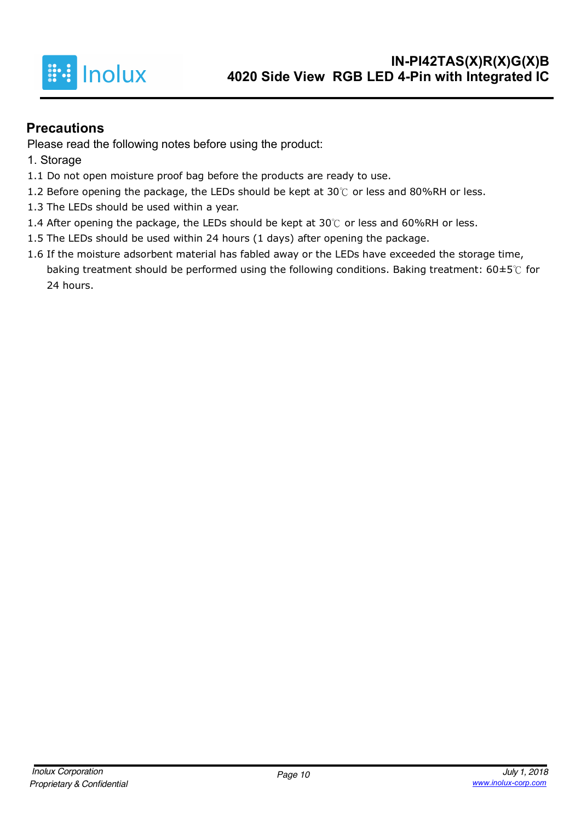

### **Precautions**

Please read the following notes before using the product:

- 1. Storage
- 1.1 Do not open moisture proof bag before the products are ready to use.
- 1.2 Before opening the package, the LEDs should be kept at 30℃ or less and 80%RH or less.
- 1.3 The LEDs should be used within a year.
- 1.4 After opening the package, the LEDs should be kept at 30℃ or less and 60%RH or less.
- 1.5 The LEDs should be used within 24 hours (1 days) after opening the package.
- 1.6 If the moisture adsorbent material has fabled away or the LEDs have exceeded the storage time, baking treatment should be performed using the following conditions. Baking treatment: 60±5℃ for 24 hours.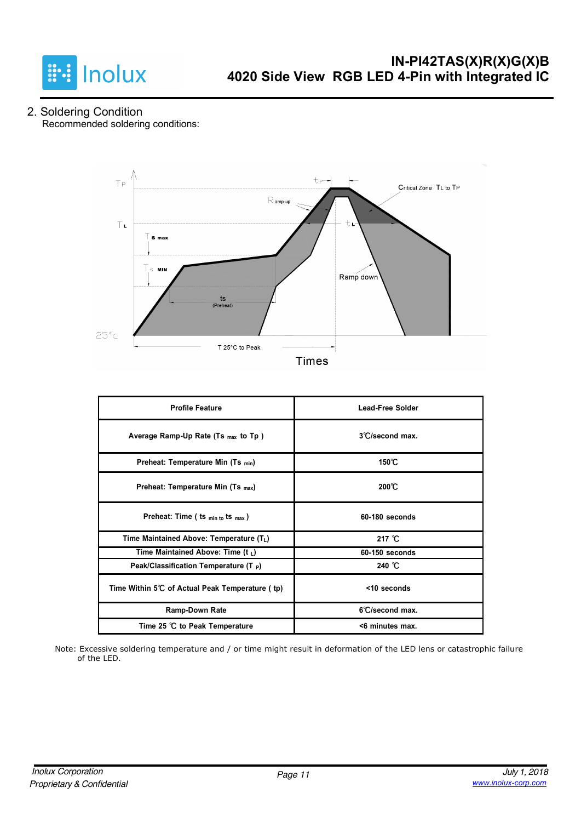

2. Soldering Condition Recommended soldering conditions:



| <b>Profile Feature</b>                          | <b>Lead-Free Solder</b> |
|-------------------------------------------------|-------------------------|
| Average Ramp-Up Rate (Ts $_{max}$ to Tp)        | 3°C/second max.         |
| Preheat: Temperature Min (Ts min)               | $150^{\circ}$ C         |
| Preheat: Temperature Min (Ts <sub>max</sub> )   | $200^{\circ}$ C         |
| Preheat: Time ( ts $_{min\ to}$ ts $_{max}$ )   | $60-180$ seconds        |
| Time Maintained Above: Temperature $(T_L)$      | 217 $°C$                |
| Time Maintained Above: Time (t $_L$ )           | 60-150 seconds          |
| Peak/Classification Temperature (T P)           | 240 °C                  |
| Time Within 5°C of Actual Peak Temperature (tp) | <10 seconds             |
| <b>Ramp-Down Rate</b>                           | 6°C/second max.         |
| Time 25 ℃ to Peak Temperature                   | <6 minutes max.         |

Note: Excessive soldering temperature and / or time might result in deformation of the LED lens or catastrophic failure of the LED.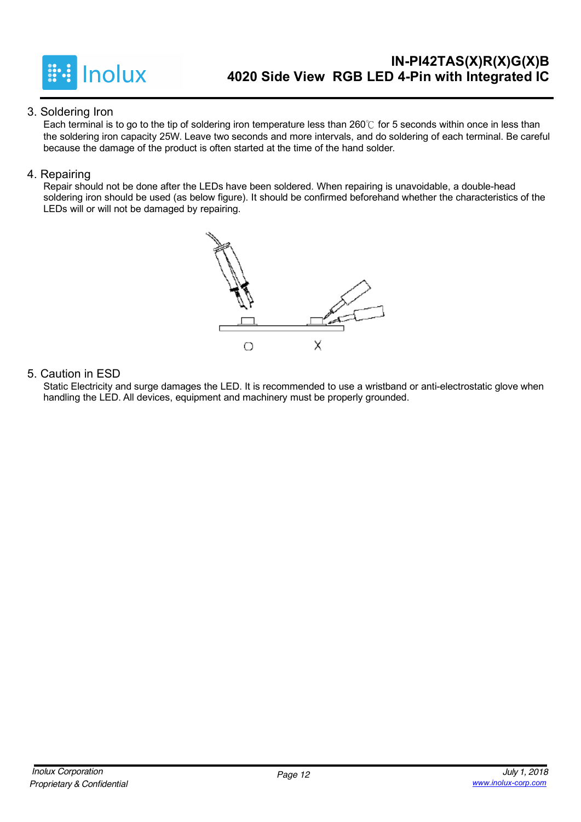

#### 3. Soldering Iron

Each terminal is to go to the tip of soldering iron temperature less than 260℃ for 5 seconds within once in less than the soldering iron capacity 25W. Leave two seconds and more intervals, and do soldering of each terminal. Be careful because the damage of the product is often started at the time of the hand solder.

#### 4. Repairing

Repair should not be done after the LEDs have been soldered. When repairing is unavoidable, a double-head soldering iron should be used (as below figure). It should be confirmed beforehand whether the characteristics of the LEDs will or will not be damaged by repairing.



#### 5. Caution in ESD

Static Electricity and surge damages the LED. It is recommended to use a wristband or anti-electrostatic glove when handling the LED. All devices, equipment and machinery must be properly grounded.